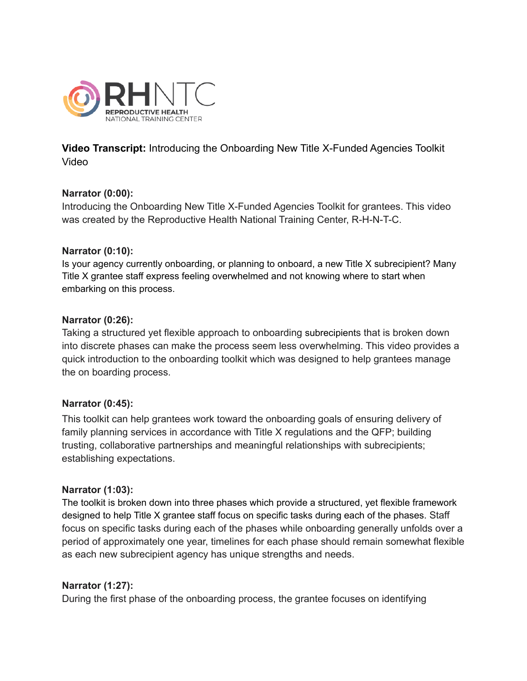

**Video Transcript:** Introducing the Onboarding New Title X-Funded Agencies Toolkit Video

### **Narrator (0:00):**

Introducing the Onboarding New Title X-Funded Agencies Toolkit for grantees. This video was created by the Reproductive Health National Training Center, R-H-N-T-C.

### **Narrator (0:10):**

Is your agency currently onboarding, or planning to onboard, a new Title X subrecipient? Many Title X grantee staff express feeling overwhelmed and not knowing where to start when embarking on this process.

### **Narrator (0:26):**

Taking a structured yet flexible approach to onboarding subrecipients that is broken down into discrete phases can make the process seem less overwhelming. This video provides a quick introduction to the onboarding toolkit which was designed to help grantees manage the on boarding process.

### **Narrator (0:45):**

This toolkit can help grantees work toward the onboarding goals of ensuring delivery of family planning services in accordance with Title X regulations and the QFP; building trusting, collaborative partnerships and meaningful relationships with subrecipients; establishing expectations.

### **Narrator (1:03):**

The toolkit is broken down into three phases which provide a structured, yet flexible framework designed to help Title X grantee staff focus on specific tasks during each of the phases. Staff focus on specific tasks during each of the phases while onboarding generally unfolds over a period of approximately one year, timelines for each phase should remain somewhat flexible as each new subrecipient agency has unique strengths and needs.

### **Narrator (1:27):**

During the first phase of the onboarding process, the grantee focuses on identifying